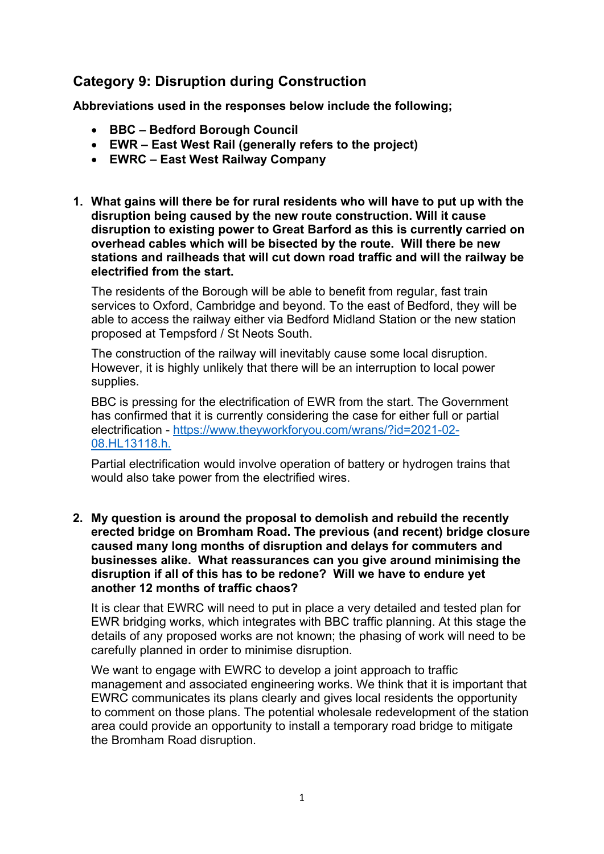# **Category 9: Disruption during Construction**

**Abbreviations used in the responses below include the following;** 

- **BBC – Bedford Borough Council**
- **EWR – East West Rail (generally refers to the project)**
- **EWRC – East West Railway Company**
- **1. What gains will there be for rural residents who will have to put up with the disruption being caused by the new route construction. Will it cause disruption to existing power to Great Barford as this is currently carried on overhead cables which will be bisected by the route. Will there be new stations and railheads that will cut down road traffic and will the railway be electrified from the start.**

The residents of the Borough will be able to benefit from regular, fast train services to Oxford, Cambridge and beyond. To the east of Bedford, they will be able to access the railway either via Bedford Midland Station or the new station proposed at Tempsford / St Neots South.

The construction of the railway will inevitably cause some local disruption. However, it is highly unlikely that there will be an interruption to local power supplies.

BBC is pressing for the electrification of EWR from the start. The Government has confirmed that it is currently considering the case for either full or partial electrification - [https://www.theyworkforyou.com/wrans/?id=2021-02-](https://www.theyworkforyou.com/wrans/?id=2021-02-08.HL13118.h) [08.HL13118.h.](https://www.theyworkforyou.com/wrans/?id=2021-02-08.HL13118.h)

Partial electrification would involve operation of battery or hydrogen trains that would also take power from the electrified wires.

**2. My question is around the proposal to demolish and rebuild the recently erected bridge on Bromham Road. The previous (and recent) bridge closure caused many long months of disruption and delays for commuters and businesses alike. What reassurances can you give around minimising the disruption if all of this has to be redone? Will we have to endure yet another 12 months of traffic chaos?**

It is clear that EWRC will need to put in place a very detailed and tested plan for EWR bridging works, which integrates with BBC traffic planning. At this stage the details of any proposed works are not known; the phasing of work will need to be carefully planned in order to minimise disruption.

We want to engage with EWRC to develop a joint approach to traffic management and associated engineering works. We think that it is important that EWRC communicates its plans clearly and gives local residents the opportunity to comment on those plans. The potential wholesale redevelopment of the station area could provide an opportunity to install a temporary road bridge to mitigate the Bromham Road disruption.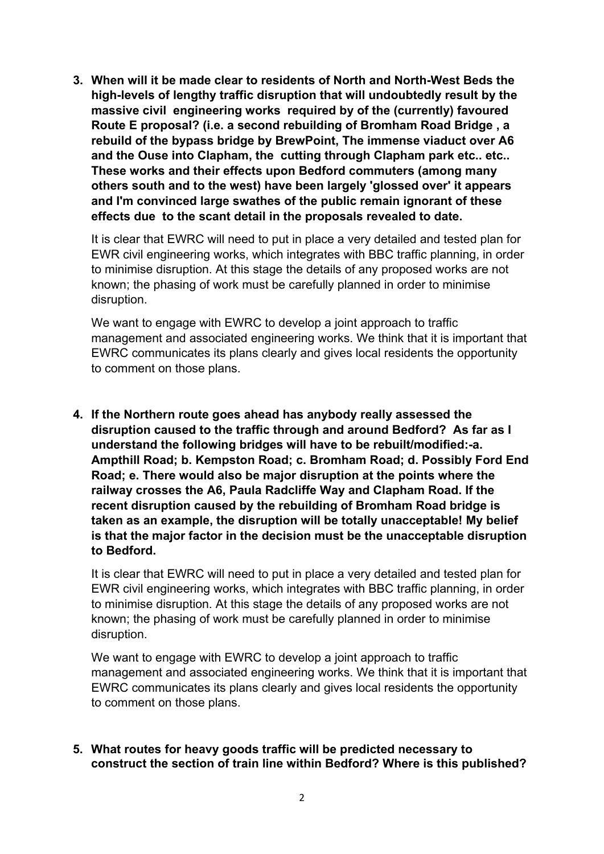**3. When will it be made clear to residents of North and North-West Beds the high-levels of lengthy traffic disruption that will undoubtedly result by the massive civil engineering works required by of the (currently) favoured Route E proposal? (i.e. a second rebuilding of Bromham Road Bridge , a rebuild of the bypass bridge by BrewPoint, The immense viaduct over A6 and the Ouse into Clapham, the cutting through Clapham park etc.. etc.. These works and their effects upon Bedford commuters (among many others south and to the west) have been largely 'glossed over' it appears and I'm convinced large swathes of the public remain ignorant of these effects due to the scant detail in the proposals revealed to date.**

It is clear that EWRC will need to put in place a very detailed and tested plan for EWR civil engineering works, which integrates with BBC traffic planning, in order to minimise disruption. At this stage the details of any proposed works are not known; the phasing of work must be carefully planned in order to minimise disruption.

We want to engage with EWRC to develop a joint approach to traffic management and associated engineering works. We think that it is important that EWRC communicates its plans clearly and gives local residents the opportunity to comment on those plans.

**4. If the Northern route goes ahead has anybody really assessed the disruption caused to the traffic through and around Bedford? As far as I understand the following bridges will have to be rebuilt/modified:-a. Ampthill Road; b. Kempston Road; c. Bromham Road; d. Possibly Ford End Road; e. There would also be major disruption at the points where the railway crosses the A6, Paula Radcliffe Way and Clapham Road. If the recent disruption caused by the rebuilding of Bromham Road bridge is taken as an example, the disruption will be totally unacceptable! My belief is that the major factor in the decision must be the unacceptable disruption to Bedford.**

It is clear that EWRC will need to put in place a very detailed and tested plan for EWR civil engineering works, which integrates with BBC traffic planning, in order to minimise disruption. At this stage the details of any proposed works are not known; the phasing of work must be carefully planned in order to minimise disruption.

We want to engage with EWRC to develop a joint approach to traffic management and associated engineering works. We think that it is important that EWRC communicates its plans clearly and gives local residents the opportunity to comment on those plans.

**5. What routes for heavy goods traffic will be predicted necessary to construct the section of train line within Bedford? Where is this published?**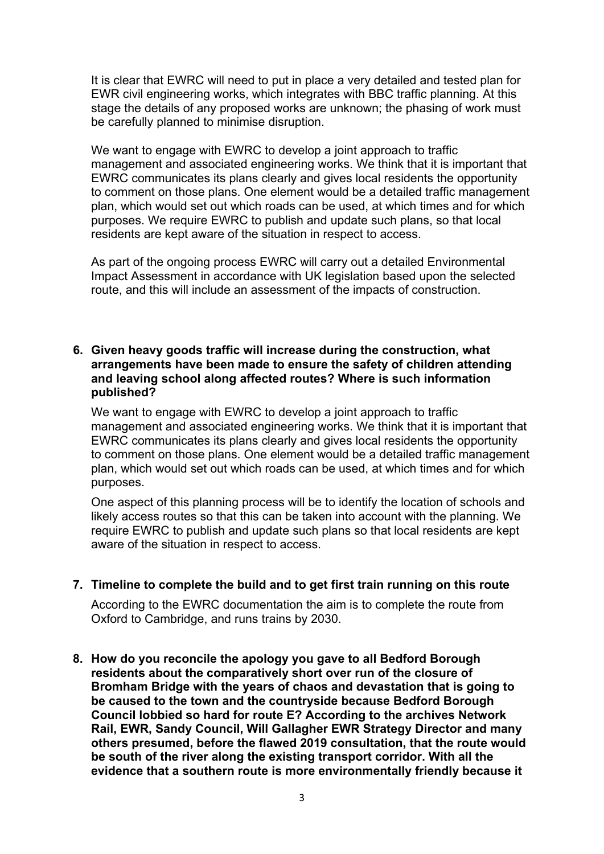It is clear that EWRC will need to put in place a very detailed and tested plan for EWR civil engineering works, which integrates with BBC traffic planning. At this stage the details of any proposed works are unknown; the phasing of work must be carefully planned to minimise disruption.

We want to engage with EWRC to develop a joint approach to traffic management and associated engineering works. We think that it is important that EWRC communicates its plans clearly and gives local residents the opportunity to comment on those plans. One element would be a detailed traffic management plan, which would set out which roads can be used, at which times and for which purposes. We require EWRC to publish and update such plans, so that local residents are kept aware of the situation in respect to access.

As part of the ongoing process EWRC will carry out a detailed Environmental Impact Assessment in accordance with UK legislation based upon the selected route, and this will include an assessment of the impacts of construction.

## **6. Given heavy goods traffic will increase during the construction, what arrangements have been made to ensure the safety of children attending and leaving school along affected routes? Where is such information published?**

We want to engage with EWRC to develop a joint approach to traffic management and associated engineering works. We think that it is important that EWRC communicates its plans clearly and gives local residents the opportunity to comment on those plans. One element would be a detailed traffic management plan, which would set out which roads can be used, at which times and for which purposes.

One aspect of this planning process will be to identify the location of schools and likely access routes so that this can be taken into account with the planning. We require EWRC to publish and update such plans so that local residents are kept aware of the situation in respect to access.

## **7. Timeline to complete the build and to get first train running on this route**

According to the EWRC documentation the aim is to complete the route from Oxford to Cambridge, and runs trains by 2030.

**8. How do you reconcile the apology you gave to all Bedford Borough residents about the comparatively short over run of the closure of Bromham Bridge with the years of chaos and devastation that is going to be caused to the town and the countryside because Bedford Borough Council lobbied so hard for route E? According to the archives Network Rail, EWR, Sandy Council, Will Gallagher EWR Strategy Director and many others presumed, before the flawed 2019 consultation, that the route would be south of the river along the existing transport corridor. With all the evidence that a southern route is more environmentally friendly because it**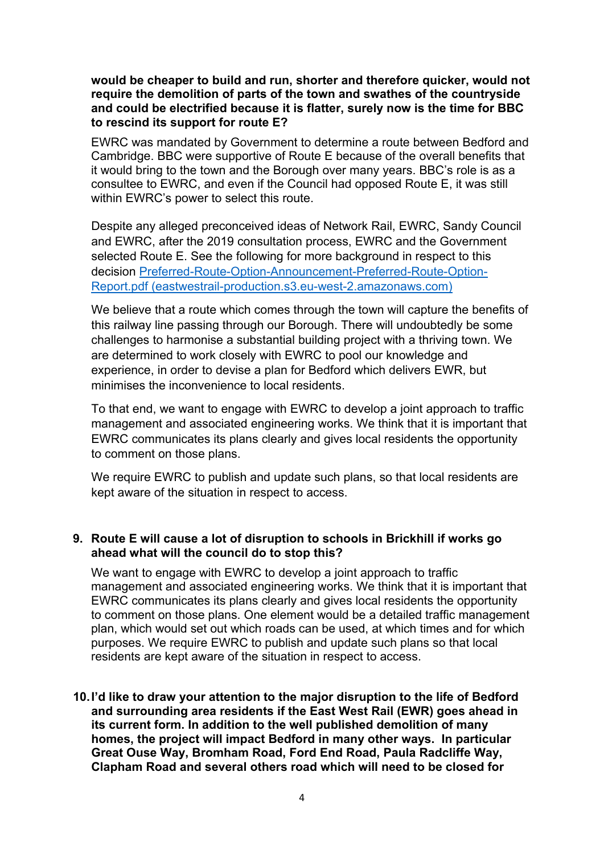#### **would be cheaper to build and run, shorter and therefore quicker, would not require the demolition of parts of the town and swathes of the countryside and could be electrified because it is flatter, surely now is the time for BBC to rescind its support for route E?**

EWRC was mandated by Government to determine a route between Bedford and Cambridge. BBC were supportive of Route E because of the overall benefits that it would bring to the town and the Borough over many years. BBC's role is as a consultee to EWRC, and even if the Council had opposed Route E, it was still within EWRC's power to select this route.

Despite any alleged preconceived ideas of Network Rail, EWRC, Sandy Council and EWRC, after the 2019 consultation process, EWRC and the Government selected Route E. See the following for more background in respect to this decision [Preferred-Route-Option-Announcement-Preferred-Route-Option-](https://eastwestrail-production.s3.eu-west-2.amazonaws.com/public/ListsBlockMedia/a72dbd2d81/Preferred-Route-Option-Announcement-Preferred-Route-Option-Report.pdf)Report.pdf [\(eastwestrail-production.s3.eu-west-2.amazonaws.com\)](https://eastwestrail-production.s3.eu-west-2.amazonaws.com/public/ListsBlockMedia/a72dbd2d81/Preferred-Route-Option-Announcement-Preferred-Route-Option-Report.pdf)

We believe that a route which comes through the town will capture the benefits of this railway line passing through our Borough. There will undoubtedly be some challenges to harmonise a substantial building project with a thriving town. We are determined to work closely with EWRC to pool our knowledge and experience, in order to devise a plan for Bedford which delivers EWR, but minimises the inconvenience to local residents.

To that end, we want to engage with EWRC to develop a joint approach to traffic management and associated engineering works. We think that it is important that EWRC communicates its plans clearly and gives local residents the opportunity to comment on those plans.

We require EWRC to publish and update such plans, so that local residents are kept aware of the situation in respect to access.

## **9. Route E will cause a lot of disruption to schools in Brickhill if works go ahead what will the council do to stop this?**

We want to engage with EWRC to develop a joint approach to traffic management and associated engineering works. We think that it is important that EWRC communicates its plans clearly and gives local residents the opportunity to comment on those plans. One element would be a detailed traffic management plan, which would set out which roads can be used, at which times and for which purposes. We require EWRC to publish and update such plans so that local residents are kept aware of the situation in respect to access.

**10.I'd like to draw your attention to the major disruption to the life of Bedford and surrounding area residents if the East West Rail (EWR) goes ahead in its current form. In addition to the well published demolition of many homes, the project will impact Bedford in many other ways. In particular Great Ouse Way, Bromham Road, Ford End Road, Paula Radcliffe Way, Clapham Road and several others road which will need to be closed for**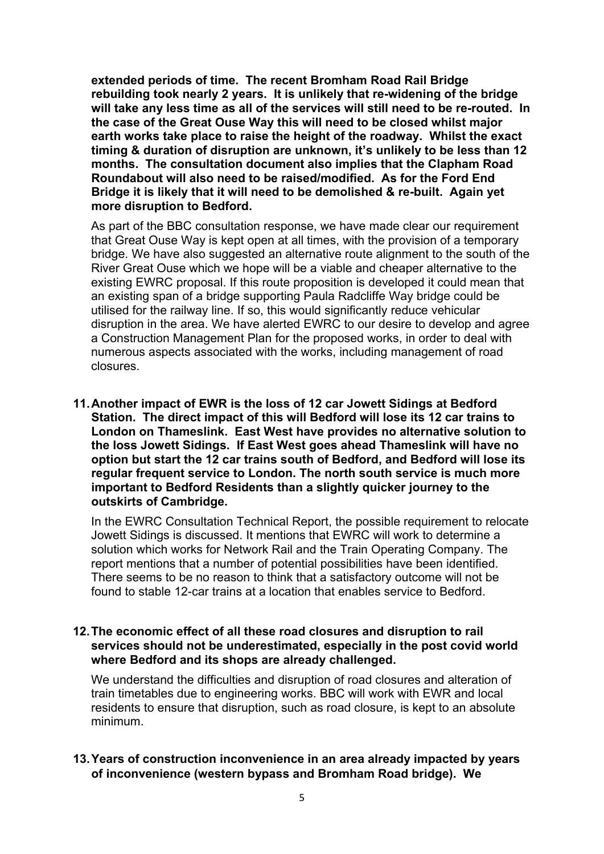**extended periods of time. The recent Bromham Road Rail Bridge rebuilding took nearly 2 years. It is unlikely that re-widening of the bridge will take any less time as all of the services will still need to be re-routed. In the case of the Great Ouse Way this will need to be closed whilst major earth works take place to raise the height of the roadway. Whilst the exact timing & duration of disruption are unknown, it's unlikely to be less than 12 months. The consultation document also implies that the Clapham Road Roundabout will also need to be raised/modified. As for the Ford End Bridge it is likely that it will need to be demolished & re-built. Again yet more disruption to Bedford.** 

As part of the BBC consultation response, we have made clear our requirement that Great Ouse Way is kept open at all times, with the provision of a temporary bridge. We have also suggested an alternative route alignment to the south of the River Great Ouse which we hope will be a viable and cheaper alternative to the existing EWRC proposal. If this route proposition is developed it could mean that an existing span of a bridge supporting Paula Radcliffe Way bridge could be utilised for the railway line. If so, this would significantly reduce vehicular disruption in the area. We have alerted EWRC to our desire to develop and agree a Construction Management Plan for the proposed works, in order to deal with numerous aspects associated with the works, including management of road closures.

**11.Another impact of EWR is the loss of 12 car Jowett Sidings at Bedford Station. The direct impact of this will Bedford will lose its 12 car trains to London on Thameslink. East West have provides no alternative solution to the loss Jowett Sidings. If East West goes ahead Thameslink will have no option but start the 12 car trains south of Bedford, and Bedford will lose its regular frequent service to London. The north south service is much more important to Bedford Residents than a slightly quicker journey to the outskirts of Cambridge.**

In the EWRC Consultation Technical Report, the possible requirement to relocate Jowett Sidings is discussed. It mentions that EWRC will work to determine a solution which works for Network Rail and the Train Operating Company. The report mentions that a number of potential possibilities have been identified. There seems to be no reason to think that a satisfactory outcome will not be found to stable 12-car trains at a location that enables service to Bedford.

#### **12.The economic effect of all these road closures and disruption to rail services should not be underestimated, especially in the post covid world where Bedford and its shops are already challenged.**

We understand the difficulties and disruption of road closures and alteration of train timetables due to engineering works. BBC will work with EWR and local residents to ensure that disruption, such as road closure, is kept to an absolute minimum.

## **13.Years of construction inconvenience in an area already impacted by years of inconvenience (western bypass and Bromham Road bridge). We**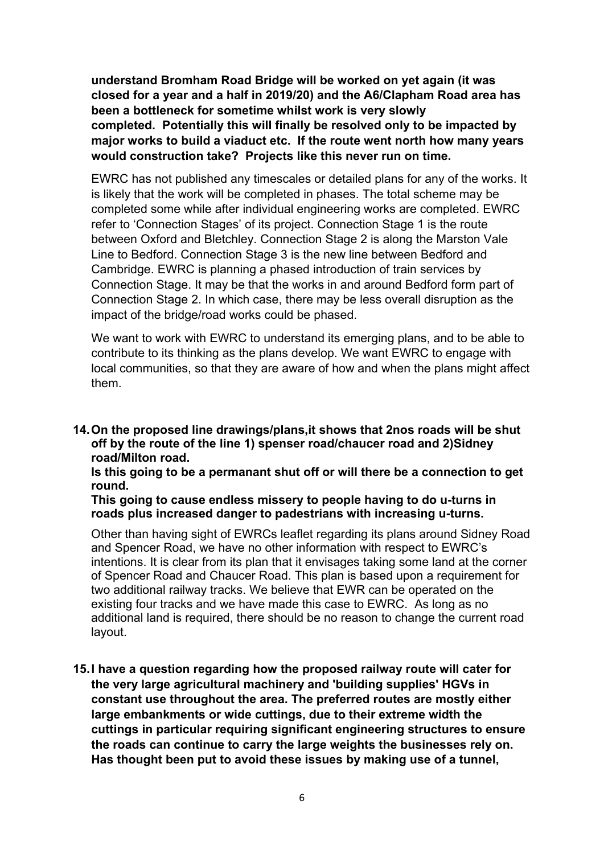**understand Bromham Road Bridge will be worked on yet again (it was closed for a year and a half in 2019/20) and the A6/Clapham Road area has been a bottleneck for sometime whilst work is very slowly completed. Potentially this will finally be resolved only to be impacted by major works to build a viaduct etc. If the route went north how many years would construction take? Projects like this never run on time.**

EWRC has not published any timescales or detailed plans for any of the works. It is likely that the work will be completed in phases. The total scheme may be completed some while after individual engineering works are completed. EWRC refer to 'Connection Stages' of its project. Connection Stage 1 is the route between Oxford and Bletchley. Connection Stage 2 is along the Marston Vale Line to Bedford. Connection Stage 3 is the new line between Bedford and Cambridge. EWRC is planning a phased introduction of train services by Connection Stage. It may be that the works in and around Bedford form part of Connection Stage 2. In which case, there may be less overall disruption as the impact of the bridge/road works could be phased.

We want to work with EWRC to understand its emerging plans, and to be able to contribute to its thinking as the plans develop. We want EWRC to engage with local communities, so that they are aware of how and when the plans might affect them.

**14.On the proposed line drawings/plans,it shows that 2nos roads will be shut off by the route of the line 1) spenser road/chaucer road and 2)Sidney road/Milton road.**

**Is this going to be a permanant shut off or will there be a connection to get round.**

**This going to cause endless missery to people having to do u-turns in roads plus increased danger to padestrians with increasing u-turns.**

Other than having sight of EWRCs leaflet regarding its plans around Sidney Road and Spencer Road, we have no other information with respect to EWRC's intentions. It is clear from its plan that it envisages taking some land at the corner of Spencer Road and Chaucer Road. This plan is based upon a requirement for two additional railway tracks. We believe that EWR can be operated on the existing four tracks and we have made this case to EWRC. As long as no additional land is required, there should be no reason to change the current road layout.

**15.I have a question regarding how the proposed railway route will cater for the very large agricultural machinery and 'building supplies' HGVs in constant use throughout the area. The preferred routes are mostly either large embankments or wide cuttings, due to their extreme width the cuttings in particular requiring significant engineering structures to ensure the roads can continue to carry the large weights the businesses rely on. Has thought been put to avoid these issues by making use of a tunnel,**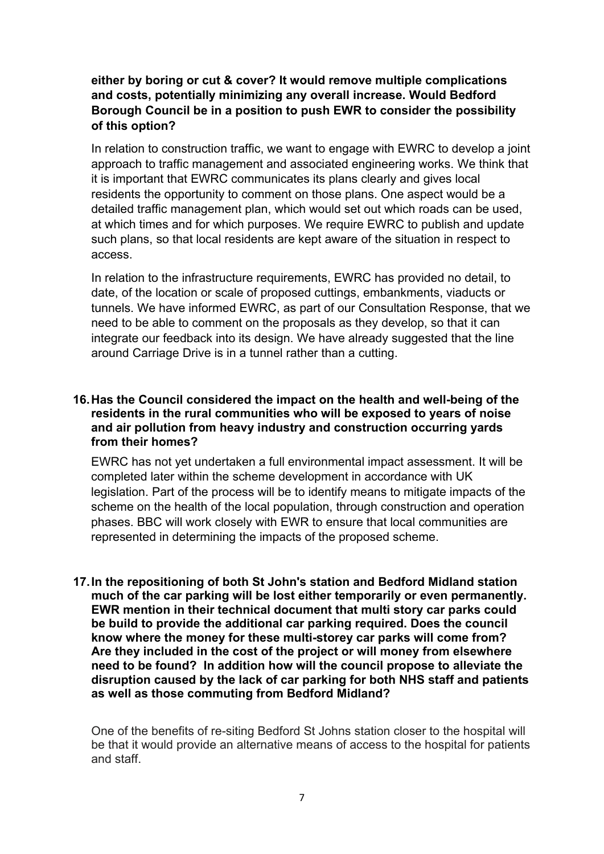# **either by boring or cut & cover? It would remove multiple complications and costs, potentially minimizing any overall increase. Would Bedford Borough Council be in a position to push EWR to consider the possibility of this option?**

In relation to construction traffic, we want to engage with EWRC to develop a joint approach to traffic management and associated engineering works. We think that it is important that EWRC communicates its plans clearly and gives local residents the opportunity to comment on those plans. One aspect would be a detailed traffic management plan, which would set out which roads can be used, at which times and for which purposes. We require EWRC to publish and update such plans, so that local residents are kept aware of the situation in respect to access.

In relation to the infrastructure requirements, EWRC has provided no detail, to date, of the location or scale of proposed cuttings, embankments, viaducts or tunnels. We have informed EWRC, as part of our Consultation Response, that we need to be able to comment on the proposals as they develop, so that it can integrate our feedback into its design. We have already suggested that the line around Carriage Drive is in a tunnel rather than a cutting.

## **16.Has the Council considered the impact on the health and well-being of the residents in the rural communities who will be exposed to years of noise and air pollution from heavy industry and construction occurring yards from their homes?**

EWRC has not yet undertaken a full environmental impact assessment. It will be completed later within the scheme development in accordance with UK legislation. Part of the process will be to identify means to mitigate impacts of the scheme on the health of the local population, through construction and operation phases. BBC will work closely with EWR to ensure that local communities are represented in determining the impacts of the proposed scheme.

**17.In the repositioning of both St John's station and Bedford Midland station much of the car parking will be lost either temporarily or even permanently. EWR mention in their technical document that multi story car parks could be build to provide the additional car parking required. Does the council know where the money for these multi-storey car parks will come from? Are they included in the cost of the project or will money from elsewhere need to be found? In addition how will the council propose to alleviate the disruption caused by the lack of car parking for both NHS staff and patients as well as those commuting from Bedford Midland?**

One of the benefits of re-siting Bedford St Johns station closer to the hospital will be that it would provide an alternative means of access to the hospital for patients and staff.